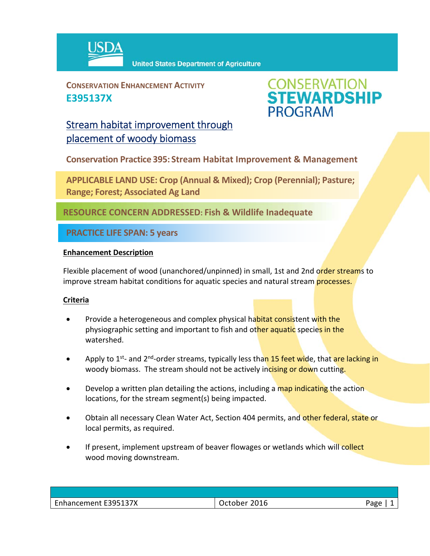

**CONSERVATION ENHANCEMENT ACTIVITY E395137X**



# Stream habitat improvement through placement of woody biomass

**Conservation Practice 395: Stream Habitat Improvement & Management**

**APPLICABLE LAND USE: Crop (Annual & Mixed); Crop (Perennial); Pasture; Range; Forest; Associated Ag Land**

**RESOURCE CONCERN ADDRESSED: Fish & Wildlife Inadequate** 

**PRACTICE LIFE SPAN: 5 years**

### **Enhancement Description**

Flexible placement of wood (unanchored/unpinned) in small, 1st and 2nd order streams to improve stream habitat conditions for aquatic species and natural stream **processes.** 

## **Criteria**

- Provide a heterogeneous and complex physical habitat consistent with the physiographic setting and important to fish and other aquatic species in the watershed.
- Apply to 1<sup>st</sup>- and 2<sup>nd</sup>-order streams, typically less than 15 feet wide, that are lacking in woody biomass. The stream should not be actively incising or down cutting.
- **•** Develop a written plan detailing the actions, including a map indicating the action locations, for the stream segment(s) being impacted.
- Obtain all necessary Clean Water Act, Section 404 permits, and other federal, state or local permits, as required.
- If present, implement upstream of beaver flowages or wetlands which will collect wood moving downstream.

| Enhancement E395137X | 2016<br><b>October</b> | Page |
|----------------------|------------------------|------|